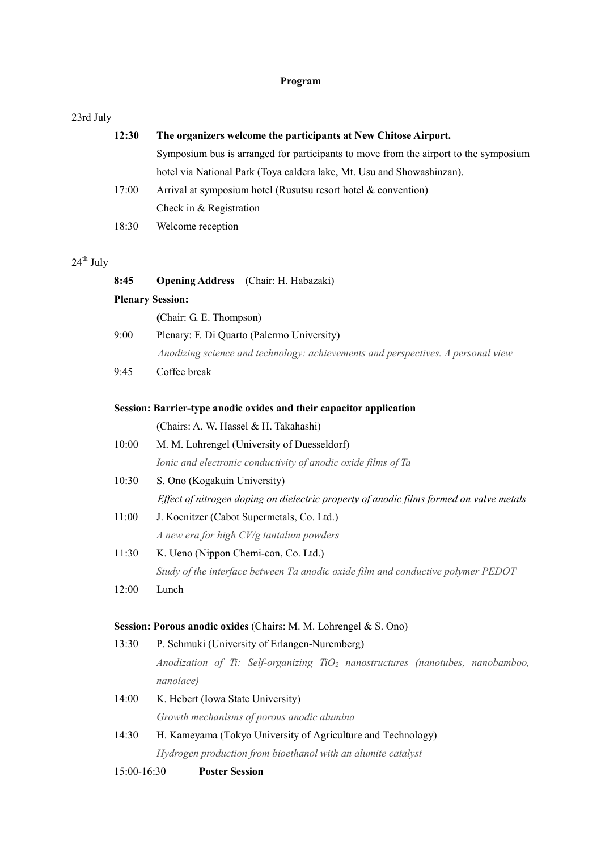### Program

### 23rd July

| 12:30 | The organizers welcome the participants at New Chitose Airport.                      |
|-------|--------------------------------------------------------------------------------------|
|       | Symposium bus is arranged for participants to move from the airport to the symposium |
|       | hotel via National Park (Toya caldera lake, Mt. Usu and Showashinzan).               |
| 17:00 | Arrival at symposium hotel (Rusutsu resort hotel $\&$ convention)                    |
|       | Check in & Registration                                                              |
| 18:30 | Welcome reception                                                                    |
|       |                                                                                      |

# $24^{\text{th}}$  July

| 8:45  | <b>Opening Address</b> (Chair: H. Habazaki)                                             |
|-------|-----------------------------------------------------------------------------------------|
|       | <b>Plenary Session:</b>                                                                 |
|       | (Chair: G. E. Thompson)                                                                 |
| 9:00  | Plenary: F. Di Quarto (Palermo University)                                              |
|       | Anodizing science and technology: achievements and perspectives. A personal view        |
| 9:45  | Coffee break                                                                            |
|       | Session: Barrier-type anodic oxides and their capacitor application                     |
|       | (Chairs: A. W. Hassel & H. Takahashi)                                                   |
| 10:00 | M. M. Lohrengel (University of Duesseldorf)                                             |
|       | Ionic and electronic conductivity of anodic oxide films of Ta                           |
| 10:30 | S. Ono (Kogakuin University)                                                            |
|       | Effect of nitrogen doping on dielectric property of anodic films formed on valve metals |
| 11:00 | J. Koenitzer (Cabot Supermetals, Co. Ltd.)                                              |
|       | A new era for high CV/g tantalum powders                                                |
| 11:30 | K. Ueno (Nippon Chemi-con, Co. Ltd.)                                                    |
|       | Study of the interface between Ta anodic oxide film and conductive polymer PEDOT        |
| 12:00 | Lunch                                                                                   |
|       | Session: Porous anodic oxides (Chairs: M. M. Lohrengel & S. Ono)                        |
| 13:30 | P. Schmuki (University of Erlangen-Nuremberg)                                           |
|       | Anodization of Ti: Self-organizing $TiO2$ nanostructures (nanotubes, nanobamboo,        |
|       | nanolace)                                                                               |
| 14:00 | K. Hebert (Iowa State University)                                                       |
|       | Growth mechanisms of porous anodic alumina                                              |
| 14:30 | H. Kameyama (Tokyo University of Agriculture and Technology)                            |
|       | Hydrogen production from bioethanol with an alumite catalyst                            |

15:00-16:30 Poster Session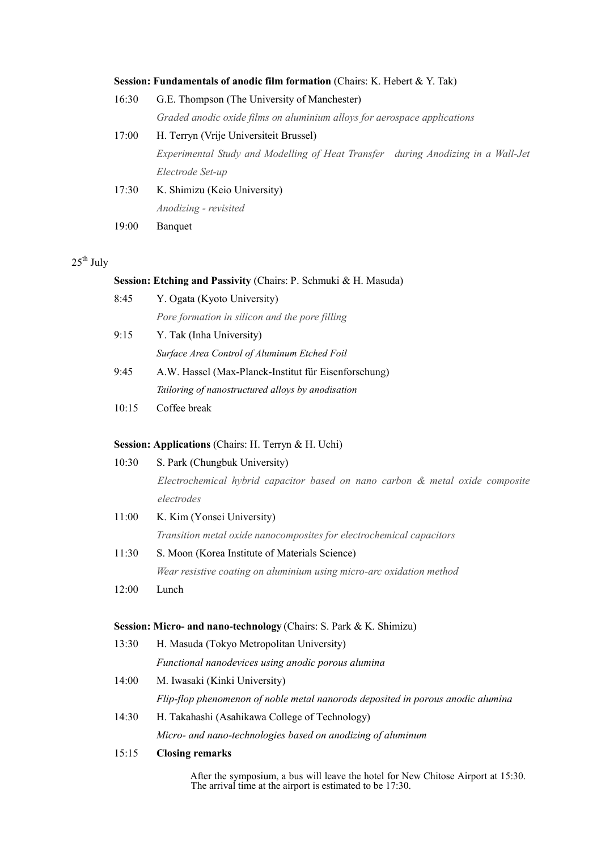### Session: Fundamentals of anodic film formation (Chairs: K. Hebert & Y. Tak)

| 16:30 | G.E. Thompson (The University of Manchester)                                     |  |
|-------|----------------------------------------------------------------------------------|--|
|       | Graded anodic oxide films on aluminium alloys for aerospace applications         |  |
| 17:00 | H. Terryn (Vrije Universiteit Brussel)                                           |  |
|       | Experimental Study and Modelling of Heat Transfer during Anodizing in a Wall-Jet |  |
|       | Electrode Set-up                                                                 |  |
| 17:30 | K. Shimizu (Keio University)                                                     |  |
|       | Anodizing - revisited                                                            |  |
| 19:00 | Banquet                                                                          |  |
|       |                                                                                  |  |

## $25^{\text{th}}$  July

#### Session: Etching and Passivity (Chairs: P. Schmuki & H. Masuda)

| 8:45 | Y. Ogata (Kyoto University)                          |
|------|------------------------------------------------------|
|      | Pore formation in silicon and the pore filling       |
| 9:15 | Y. Tak (Inha University)                             |
|      | Surface Area Control of Aluminum Etched Foil         |
| 9.45 | A.W. Hassel (Max-Planck-Institut für Eisenforschung) |
|      | Tailoring of nanostructured alloys by anodisation    |

### 10:15 Coffee break

### Session: Applications (Chairs: H. Terryn & H. Uchi)

|       | S. Park (Chungbuk University)                                                   |
|-------|---------------------------------------------------------------------------------|
|       | Electrochemical hybrid capacitor based on nano carbon & metal oxide composite   |
|       | electrodes                                                                      |
| 11:00 | K. Kim (Yonsei University)                                                      |
|       | Transition metal oxide nanocomposites for electrochemical capacitors            |
| 11:30 | S. Moon (Korea Institute of Materials Science)                                  |
|       | Wear resistive coating on aluminium using micro-arc oxidation method            |
| 12:00 | Lunch                                                                           |
|       |                                                                                 |
|       |                                                                                 |
|       | Session: Micro- and nano-technology (Chairs: S. Park & K. Shimizu)              |
| 13:30 | H. Masuda (Tokyo Metropolitan University)                                       |
|       | Functional nanodevices using anodic porous alumina                              |
| 14:00 | M. Iwasaki (Kinki University)                                                   |
|       | Flip-flop phenomenon of noble metal nanorods deposited in porous anodic alumina |
| 14:30 | H. Takahashi (Asahikawa College of Technology)                                  |
|       | Micro- and nano-technologies based on anodizing of aluminum                     |

After the symposium, a bus will leave the hotel for New Chitose Airport at 15:30. The arrival time at the airport is estimated to be 17:30.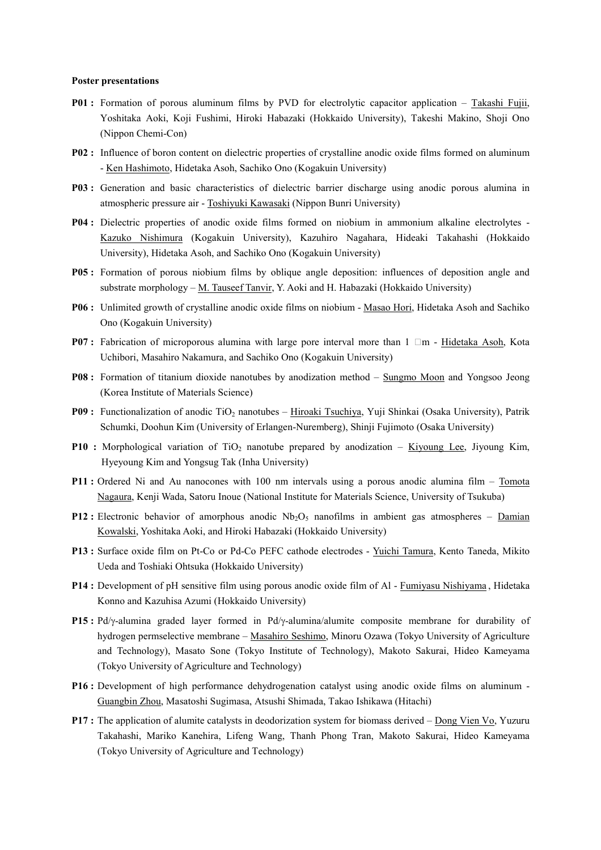#### Poster presentations

- P01 : Formation of porous aluminum films by PVD for electrolytic capacitor application Takashi Fujii, Yoshitaka Aoki, Koji Fushimi, Hiroki Habazaki (Hokkaido University), Takeshi Makino, Shoji Ono (Nippon Chemi-Con)
- P02 : Influence of boron content on dielectric properties of crystalline anodic oxide films formed on aluminum - Ken Hashimoto, Hidetaka Asoh, Sachiko Ono (Kogakuin University)
- P03 : Generation and basic characteristics of dielectric barrier discharge using anodic porous alumina in atmospheric pressure air - Toshiyuki Kawasaki (Nippon Bunri University)
- P04 : Dielectric properties of anodic oxide films formed on niobium in ammonium alkaline electrolytes Kazuko Nishimura (Kogakuin University), Kazuhiro Nagahara, Hideaki Takahashi (Hokkaido University), Hidetaka Asoh, and Sachiko Ono (Kogakuin University)
- P05 : Formation of porous niobium films by oblique angle deposition: influences of deposition angle and substrate morphology - M. Tauseef Tanvir, Y. Aoki and H. Habazaki (Hokkaido University)
- P06 : Unlimited growth of crystalline anodic oxide films on niobium Masao Hori, Hidetaka Asoh and Sachiko Ono (Kogakuin University)
- **P07**: Fabrication of microporous alumina with large pore interval more than  $1 \Box m$  Hidetaka Asoh, Kota Uchibori, Masahiro Nakamura, and Sachiko Ono (Kogakuin University)
- P08 : Formation of titanium dioxide nanotubes by anodization method Sungmo Moon and Yongsoo Jeong (Korea Institute of Materials Science)
- **P09 :** Functionalization of anodic TiO<sub>2</sub> nanotubes Hiroaki Tsuchiya, Yuji Shinkai (Osaka University), Patrik Schumki, Doohun Kim (University of Erlangen-Nuremberg), Shinji Fujimoto (Osaka University)
- **P10 :** Morphological variation of TiO<sub>2</sub> nanotube prepared by anodization Kiyoung Lee, Jiyoung Kim, Hyeyoung Kim and Yongsug Tak (Inha University)
- P11 : Ordered Ni and Au nanocones with 100 nm intervals using a porous anodic alumina film Tomota Nagaura, Kenji Wada, Satoru Inoue (National Institute for Materials Science, University of Tsukuba)
- **P12**: Electronic behavior of amorphous anodic  $Nb_2O_5$  nanofilms in ambient gas atmospheres Damian Kowalski, Yoshitaka Aoki, and Hiroki Habazaki (Hokkaido University)
- P13 : Surface oxide film on Pt-Co or Pd-Co PEFC cathode electrodes Yuichi Tamura, Kento Taneda, Mikito Ueda and Toshiaki Ohtsuka (Hokkaido University)
- P14 : Development of pH sensitive film using porous anodic oxide film of Al Fumiyasu Nishiyama , Hidetaka Konno and Kazuhisa Azumi (Hokkaido University)
- P15 : Pd/γ-alumina graded layer formed in Pd/γ-alumina/alumite composite membrane for durability of hydrogen permselective membrane – Masahiro Seshimo, Minoru Ozawa (Tokyo University of Agriculture and Technology), Masato Sone (Tokyo Institute of Technology), Makoto Sakurai, Hideo Kameyama (Tokyo University of Agriculture and Technology)
- P16 : Development of high performance dehydrogenation catalyst using anodic oxide films on aluminum Guangbin Zhou, Masatoshi Sugimasa, Atsushi Shimada, Takao Ishikawa (Hitachi)
- P17 : The application of alumite catalysts in deodorization system for biomass derived Dong Vien Vo, Yuzuru Takahashi, Mariko Kanehira, Lifeng Wang, Thanh Phong Tran, Makoto Sakurai, Hideo Kameyama (Tokyo University of Agriculture and Technology)